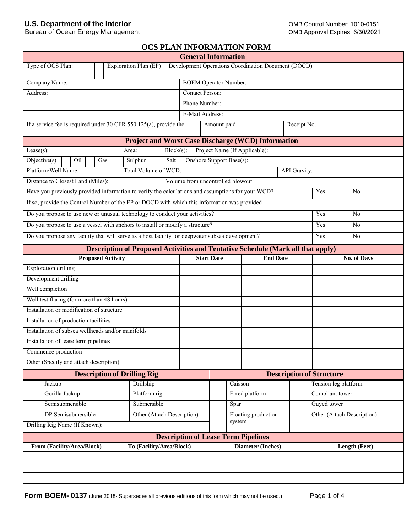# **U.S. Department of the Interior**

Bureau of Ocean Energy Management

# **OCS PLAN INFORMATION FORM**

|                                                                                                   |                          |                                                                                        |              |                        | <b>General Information</b>        |                                                     |                     |                                 |                            |
|---------------------------------------------------------------------------------------------------|--------------------------|----------------------------------------------------------------------------------------|--------------|------------------------|-----------------------------------|-----------------------------------------------------|---------------------|---------------------------------|----------------------------|
| Type of OCS Plan:                                                                                 |                          | Exploration Plan (EP)                                                                  |              |                        |                                   | Development Operations Coordination Document (DOCD) |                     |                                 |                            |
| Company Name:                                                                                     |                          |                                                                                        |              |                        | <b>BOEM Operator Number:</b>      |                                                     |                     |                                 |                            |
| Address:                                                                                          |                          |                                                                                        |              | <b>Contact Person:</b> |                                   |                                                     |                     |                                 |                            |
|                                                                                                   |                          |                                                                                        |              | Phone Number:          |                                   |                                                     |                     |                                 |                            |
|                                                                                                   |                          |                                                                                        |              | E-Mail Address:        |                                   |                                                     |                     |                                 |                            |
| If a service fee is required under 30 CFR $550.125(a)$ , provide the                              |                          |                                                                                        |              |                        | Amount paid                       |                                                     | Receipt No.         |                                 |                            |
|                                                                                                   |                          | <b>Project and Worst Case Discharge (WCD) Information</b>                              |              |                        |                                   |                                                     |                     |                                 |                            |
| Lease $(s)$ :                                                                                     |                          | Area:                                                                                  | $Block(s)$ : |                        | Project Name (If Applicable):     |                                                     |                     |                                 |                            |
| Objective(s)<br>Oil                                                                               | Gas                      | Sulphur                                                                                | Salt         |                        | Onshore Support Base(s):          |                                                     |                     |                                 |                            |
| Platform/Well Name:                                                                               |                          | Total Volume of WCD:                                                                   |              |                        |                                   |                                                     | <b>API</b> Gravity: |                                 |                            |
| Distance to Closest Land (Miles):                                                                 |                          |                                                                                        |              |                        | Volume from uncontrolled blowout: |                                                     |                     |                                 |                            |
| Have you previously provided information to verify the calculations and assumptions for your WCD? |                          |                                                                                        |              |                        |                                   |                                                     |                     | Yes                             | N <sub>0</sub>             |
| If so, provide the Control Number of the EP or DOCD with which this information was provided      |                          |                                                                                        |              |                        |                                   |                                                     |                     |                                 |                            |
| Do you propose to use new or unusual technology to conduct your activities?                       |                          |                                                                                        |              |                        |                                   |                                                     |                     | Yes                             | N <sub>0</sub>             |
| Do you propose to use a vessel with anchors to install or modify a structure?                     |                          |                                                                                        |              |                        |                                   |                                                     |                     | Yes                             | N <sub>0</sub>             |
| Do you propose any facility that will serve as a host facility for deepwater subsea development?  |                          |                                                                                        |              |                        |                                   |                                                     |                     | Yes                             | N <sub>0</sub>             |
|                                                                                                   |                          | <b>Description of Proposed Activities and Tentative Schedule (Mark all that apply)</b> |              |                        |                                   |                                                     |                     |                                 |                            |
|                                                                                                   | <b>Proposed Activity</b> |                                                                                        |              |                        | <b>Start Date</b>                 | <b>End Date</b>                                     |                     |                                 | No. of Days                |
| <b>Exploration drilling</b>                                                                       |                          |                                                                                        |              |                        |                                   |                                                     |                     |                                 |                            |
| Development drilling                                                                              |                          |                                                                                        |              |                        |                                   |                                                     |                     |                                 |                            |
| Well completion                                                                                   |                          |                                                                                        |              |                        |                                   |                                                     |                     |                                 |                            |
| Well test flaring (for more than 48 hours)                                                        |                          |                                                                                        |              |                        |                                   |                                                     |                     |                                 |                            |
| Installation or modification of structure                                                         |                          |                                                                                        |              |                        |                                   |                                                     |                     |                                 |                            |
| Installation of production facilities                                                             |                          |                                                                                        |              |                        |                                   |                                                     |                     |                                 |                            |
| Installation of subsea wellheads and/or manifolds                                                 |                          |                                                                                        |              |                        |                                   |                                                     |                     |                                 |                            |
| Installation of lease term pipelines                                                              |                          |                                                                                        |              |                        |                                   |                                                     |                     |                                 |                            |
| Commence production                                                                               |                          |                                                                                        |              |                        |                                   |                                                     |                     |                                 |                            |
| Other (Specify and attach description)                                                            |                          |                                                                                        |              |                        |                                   |                                                     |                     |                                 |                            |
|                                                                                                   |                          | <b>Description of Drilling Rig</b>                                                     |              |                        |                                   |                                                     |                     | <b>Description of Structure</b> |                            |
| Jackup                                                                                            |                          | Drillship                                                                              |              |                        | Caisson                           |                                                     |                     |                                 | Tension leg platform       |
| Gorilla Jackup                                                                                    |                          | Platform rig                                                                           |              |                        |                                   | Fixed platform                                      |                     | Compliant tower                 |                            |
| Semisubmersible                                                                                   |                          | Submersible                                                                            |              |                        | Spar                              |                                                     |                     | Guyed tower                     |                            |
| DP Semisubmersible                                                                                |                          | Other (Attach Description)                                                             |              |                        |                                   | Floating production                                 |                     |                                 | Other (Attach Description) |
| Drilling Rig Name (If Known):                                                                     |                          |                                                                                        |              |                        | system                            |                                                     |                     |                                 |                            |
| <b>Description of Lease Term Pipelines</b>                                                        |                          |                                                                                        |              |                        |                                   |                                                     |                     |                                 |                            |
| From (Facility/Area/Block)                                                                        |                          | To (Facility/Area/Block)                                                               |              |                        |                                   | Diameter (Inches)                                   |                     |                                 | Length (Feet)              |
|                                                                                                   |                          |                                                                                        |              |                        |                                   |                                                     |                     |                                 |                            |
|                                                                                                   |                          |                                                                                        |              |                        |                                   |                                                     |                     |                                 |                            |
|                                                                                                   |                          |                                                                                        |              |                        |                                   |                                                     |                     |                                 |                            |
|                                                                                                   |                          |                                                                                        |              |                        |                                   |                                                     |                     |                                 |                            |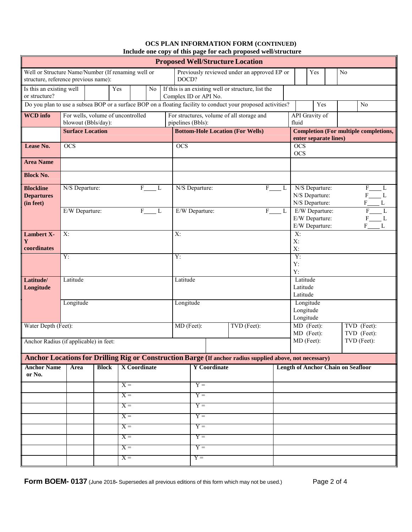#### **OCS PLAN INFORMATION FORM (CONTINUED) Include one copy of this page for each proposed well/structure**

| <b>Proposed Well/Structure Location</b>                                                                                                           |                         |                                                          |                     |                              |                   |                                                                                                              |  |                         |                                     |                                  |                                                    |  |                                              |
|---------------------------------------------------------------------------------------------------------------------------------------------------|-------------------------|----------------------------------------------------------|---------------------|------------------------------|-------------------|--------------------------------------------------------------------------------------------------------------|--|-------------------------|-------------------------------------|----------------------------------|----------------------------------------------------|--|----------------------------------------------|
| Well or Structure Name/Number (If renaming well or<br>structure, reference previous name):                                                        |                         |                                                          |                     |                              |                   | Previously reviewed under an approved EP or<br>DOCD?                                                         |  |                         |                                     |                                  | Yes                                                |  | No                                           |
| If this is an existing well or structure, list the<br>Is this an existing well<br>Yes<br>N <sub>0</sub><br>or structure?<br>Complex ID or API No. |                         |                                                          |                     |                              |                   |                                                                                                              |  |                         |                                     |                                  |                                                    |  |                                              |
|                                                                                                                                                   |                         |                                                          |                     |                              |                   | Do you plan to use a subsea BOP or a surface BOP on a floating facility to conduct your proposed activities? |  |                         |                                     |                                  | Yes                                                |  | No                                           |
| <b>WCD</b> info                                                                                                                                   |                         | For wells, volume of uncontrolled<br>blowout (Bbls/day): |                     |                              | pipelines (Bbls): | For structures, volume of all storage and                                                                    |  |                         |                                     | fluid                            | API Gravity of                                     |  |                                              |
|                                                                                                                                                   | <b>Surface Location</b> |                                                          |                     |                              |                   | <b>Bottom-Hole Location (For Wells)</b>                                                                      |  |                         |                                     |                                  | enter separate lines)                              |  | <b>Completion (For multiple completions,</b> |
| Lease No.                                                                                                                                         | $\overline{OCS}$        |                                                          |                     |                              | <b>OCS</b>        |                                                                                                              |  |                         |                                     | <b>OCS</b><br><b>OCS</b>         |                                                    |  |                                              |
| <b>Area Name</b>                                                                                                                                  |                         |                                                          |                     |                              |                   |                                                                                                              |  |                         |                                     |                                  |                                                    |  |                                              |
| <b>Block No.</b>                                                                                                                                  |                         |                                                          |                     |                              |                   |                                                                                                              |  |                         |                                     |                                  |                                                    |  |                                              |
| <b>Blockline</b><br><b>Departures</b><br>(in feet)                                                                                                | N/S Departure:          |                                                          |                     | F<br>L                       |                   | N/S Departure:                                                                                               |  | F                       | L                                   |                                  | N/S Departure:<br>N/S Departure:<br>N/S Departure: |  | F<br>L<br>F<br>F<br>L                        |
|                                                                                                                                                   | E/W Departure:          |                                                          |                     | $\overline{\mathrm{F}}$<br>L |                   | E/W Departure:                                                                                               |  | $\overline{\mathrm{F}}$ | - L                                 |                                  | E/W Departure:<br>E/W Departure:<br>E/W Departure: |  | F<br>L<br>L<br>F<br>L                        |
| <b>Lambert X-</b><br>Y                                                                                                                            | $X$ :                   |                                                          |                     |                              | $X$ :             |                                                                                                              |  |                         |                                     | $\overline{X}$ :<br>$X$ :        |                                                    |  |                                              |
| coordinates                                                                                                                                       |                         |                                                          |                     |                              |                   |                                                                                                              |  |                         |                                     | X:<br>$\overline{Y}$ :           |                                                    |  |                                              |
|                                                                                                                                                   | Y:                      |                                                          |                     | Y:                           |                   |                                                                                                              |  |                         | Y:<br>Y:                            |                                  |                                                    |  |                                              |
| Latitude/<br>Longitude                                                                                                                            | Latitude                |                                                          |                     |                              | Latitude          |                                                                                                              |  |                         |                                     | Latitude<br>Latitude<br>Latitude |                                                    |  |                                              |
|                                                                                                                                                   | Longitude               |                                                          |                     |                              | Longitude         |                                                                                                              |  |                         | Longitude<br>Longitude<br>Longitude |                                  |                                                    |  |                                              |
| Water Depth (Feet):                                                                                                                               |                         |                                                          |                     |                              |                   | MD (Feet):<br>TVD (Feet):                                                                                    |  |                         |                                     |                                  | MD (Feet):                                         |  | TVD (Feet):                                  |
| Anchor Radius (if applicable) in feet:                                                                                                            |                         |                                                          |                     |                              |                   |                                                                                                              |  |                         |                                     |                                  | MD (Feet):<br>MD (Feet):                           |  | TVD (Feet):<br>TVD (Feet):                   |
|                                                                                                                                                   |                         |                                                          |                     |                              |                   | Anchor Locations for Drilling Rig or Construction Barge (If anchor radius supplied above, not necessary)     |  |                         |                                     |                                  |                                                    |  |                                              |
| <b>Anchor Name</b><br>or No.                                                                                                                      | Area                    | <b>Block</b>                                             | <b>X</b> Coordinate |                              |                   | <b>Y</b> Coordinate                                                                                          |  |                         |                                     |                                  |                                                    |  | <b>Length of Anchor Chain on Seafloor</b>    |
|                                                                                                                                                   |                         |                                                          | $X =$               |                              |                   | $Y =$                                                                                                        |  |                         |                                     |                                  |                                                    |  |                                              |
|                                                                                                                                                   |                         |                                                          | $X =$               |                              | $Y =$             |                                                                                                              |  |                         |                                     |                                  |                                                    |  |                                              |
|                                                                                                                                                   |                         |                                                          | $X =$               |                              |                   | $Y =$                                                                                                        |  |                         |                                     |                                  |                                                    |  |                                              |
|                                                                                                                                                   |                         |                                                          | $X =$               |                              |                   | $Y =$                                                                                                        |  |                         |                                     |                                  |                                                    |  |                                              |
|                                                                                                                                                   |                         |                                                          | $X =$               |                              |                   | $Y =$                                                                                                        |  |                         |                                     |                                  |                                                    |  |                                              |
|                                                                                                                                                   |                         |                                                          | $X =$               |                              |                   | $Y =$                                                                                                        |  |                         |                                     |                                  |                                                    |  |                                              |
|                                                                                                                                                   |                         |                                                          | $X =$               |                              |                   | $Y =$                                                                                                        |  |                         |                                     |                                  |                                                    |  |                                              |
|                                                                                                                                                   |                         |                                                          | $X =$               |                              |                   | $Y =$                                                                                                        |  |                         |                                     |                                  |                                                    |  |                                              |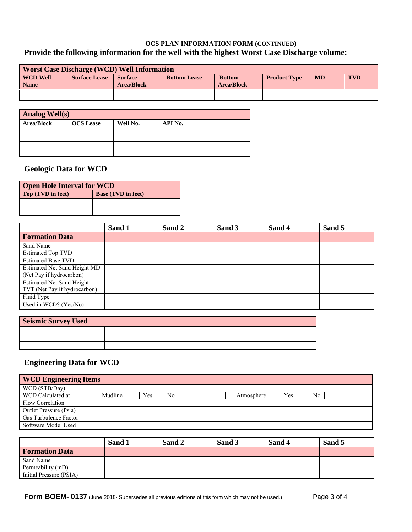## **OCS PLAN INFORMATION FORM (CONTINUED) Provide the following information for the well with the highest Worst Case Discharge volume:**

| <b>Worst Case Discharge (WCD) Well Information</b> |                      |                                     |                     |                                    |                     |           |            |
|----------------------------------------------------|----------------------|-------------------------------------|---------------------|------------------------------------|---------------------|-----------|------------|
| <b>WCD Well</b><br><b>Name</b>                     | <b>Surface Lease</b> | <b>Surface</b><br><b>Area/Block</b> | <b>Bottom Lease</b> | <b>Bottom</b><br><b>Area/Block</b> | <b>Product Type</b> | <b>MD</b> | <b>TVD</b> |
|                                                    |                      |                                     |                     |                                    |                     |           |            |

| <b>Analog Well(s)</b> |                  |          |         |  |  |  |  |
|-----------------------|------------------|----------|---------|--|--|--|--|
| <b>Area/Block</b>     | <b>OCS</b> Lease | Well No. | API No. |  |  |  |  |
|                       |                  |          |         |  |  |  |  |
|                       |                  |          |         |  |  |  |  |
|                       |                  |          |         |  |  |  |  |
|                       |                  |          |         |  |  |  |  |

# **Geologic Data for WCD**

| <b>Open Hole Interval for WCD</b> |                           |  |  |  |
|-----------------------------------|---------------------------|--|--|--|
| Top (TVD in feet)                 | <b>Base (TVD in feet)</b> |  |  |  |
|                                   |                           |  |  |  |
|                                   |                           |  |  |  |

|                                  | Sand 1 | Sand 2 | Sand 3 | Sand 4 | Sand 5 |
|----------------------------------|--------|--------|--------|--------|--------|
| <b>Formation Data</b>            |        |        |        |        |        |
| Sand Name                        |        |        |        |        |        |
| <b>Estimated Top TVD</b>         |        |        |        |        |        |
| <b>Estimated Base TVD</b>        |        |        |        |        |        |
| Estimated Net Sand Height MD     |        |        |        |        |        |
| (Net Pay if hydrocarbon)         |        |        |        |        |        |
| <b>Estimated Net Sand Height</b> |        |        |        |        |        |
| TVT (Net Pay if hydrocarbon)     |        |        |        |        |        |
| Fluid Type                       |        |        |        |        |        |
| Used in WCD? (Yes/No)            |        |        |        |        |        |

| <b>Seismic Survey Used</b> |  |  |  |  |  |  |  |
|----------------------------|--|--|--|--|--|--|--|
|                            |  |  |  |  |  |  |  |
|                            |  |  |  |  |  |  |  |
|                            |  |  |  |  |  |  |  |

# **Engineering Data for WCD**

| <b>WCD Engineering Items</b>  |         |     |    |                                |  |  |  |
|-------------------------------|---------|-----|----|--------------------------------|--|--|--|
| WCD (STB/Day)                 |         |     |    |                                |  |  |  |
| WCD Calculated at             | Mudline | Yes | No | <b>Yes</b><br>No<br>Atmosphere |  |  |  |
| Flow Correlation              |         |     |    |                                |  |  |  |
| <b>Outlet Pressure (Psia)</b> |         |     |    |                                |  |  |  |
| Gas Turbulence Factor         |         |     |    |                                |  |  |  |
| Software Model Used           |         |     |    |                                |  |  |  |

|                         | Sand 1 | Sand 2 | Sand 3 | Sand 4 | Sand 5 |
|-------------------------|--------|--------|--------|--------|--------|
| <b>Formation Data</b>   |        |        |        |        |        |
| Sand Name               |        |        |        |        |        |
| Permeability (mD)       |        |        |        |        |        |
| Initial Pressure (PSIA) |        |        |        |        |        |